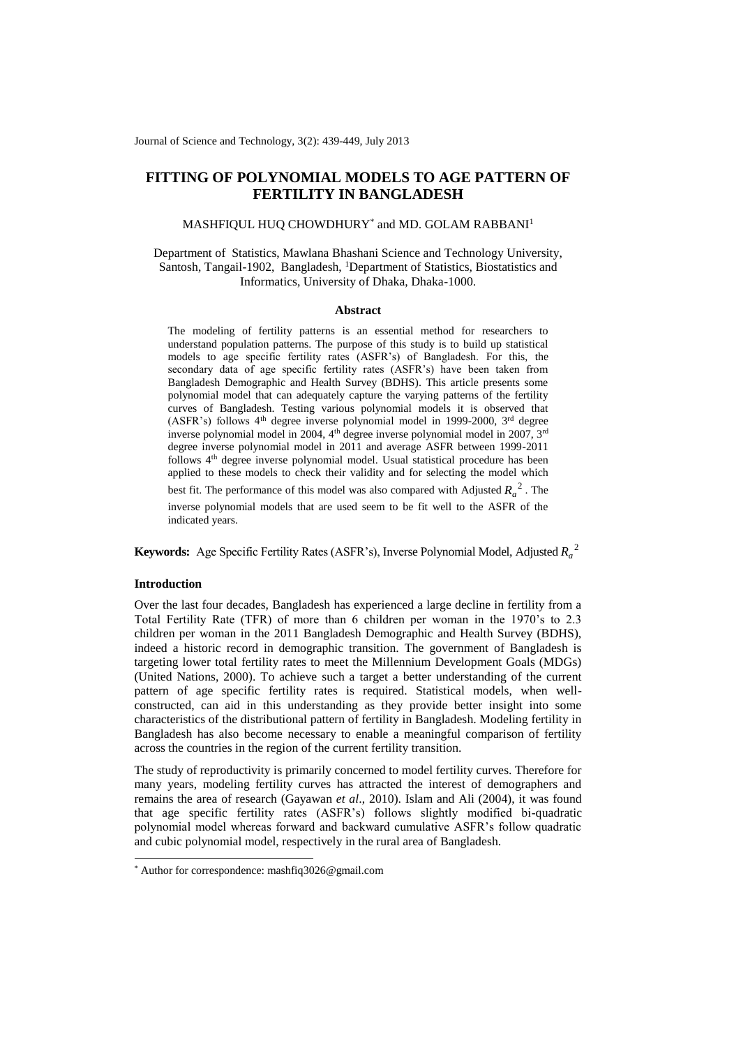Journal of Science and Technology, 3(2): 439-449, July 2013

# **FITTING OF POLYNOMIAL MODELS TO AGE PATTERN OF FERTILITY IN BANGLADESH**

## $\mathrm{MASHF}$ IQUL HUQ CHOWDHURY $^*$  and MD. GOLAM RABBANI $^1$

Department of Statistics, Mawlana Bhashani Science and Technology University, Santosh, Tangail-1902, Bangladesh, <sup>1</sup>Department of Statistics, Biostatistics and Informatics, University of Dhaka, Dhaka-1000.

#### **Abstract**

The modeling of fertility patterns is an essential method for researchers to understand population patterns. The purpose of this study is to build up statistical models to age specific fertility rates (ASFR's) of Bangladesh. For this, the secondary data of age specific fertility rates (ASFR's) have been taken from Bangladesh Demographic and Health Survey (BDHS). This article presents some polynomial model that can adequately capture the varying patterns of the fertility curves of Bangladesh. Testing various polynomial models it is observed that (ASFR's) follows  $4<sup>th</sup>$  degree inverse polynomial model in 1999-2000,  $3<sup>rd</sup>$  degree inverse polynomial model in 2004, 4<sup>th</sup> degree inverse polynomial model in 2007, 3<sup>rd</sup> degree inverse polynomial model in 2011 and average ASFR between 1999-2011 follows 4th degree inverse polynomial model. Usual statistical procedure has been applied to these models to check their validity and for selecting the model which

best fit. The performance of this model was also compared with Adjusted  $R_a^2$ . The inverse polynomial models that are used seem to be fit well to the ASFR of the indicated years.

**Keywords:** Age Specific Fertility Rates (ASFR's), Inverse Polynomial Model, Adjusted <sup>2</sup> *<sup>R</sup><sup>a</sup>*

#### **Introduction**

1

Over the last four decades, Bangladesh has experienced a large decline in fertility from a Total Fertility Rate (TFR) of more than 6 children per woman in the 1970's to 2.3 children per woman in the 2011 Bangladesh Demographic and Health Survey (BDHS), indeed a historic record in demographic transition. The government of Bangladesh is targeting lower total fertility rates to meet the Millennium Development Goals (MDGs) (United Nations, 2000). To achieve such a target a better understanding of the current pattern of age specific fertility rates is required. Statistical models, when wellconstructed, can aid in this understanding as they provide better insight into some characteristics of the distributional pattern of fertility in Bangladesh. Modeling fertility in Bangladesh has also become necessary to enable a meaningful comparison of fertility across the countries in the region of the current fertility transition.

The study of reproductivity is primarily concerned to model fertility curves. Therefore for many years, modeling fertility curves has attracted the interest of demographers and remains the area of research (Gayawan *et al*., 2010). Islam and Ali (2004), it was found that age specific fertility rates (ASFR's) follows slightly modified bi-quadratic polynomial model whereas forward and backward cumulative ASFR's follow quadratic and cubic polynomial model, respectively in the rural area of Bangladesh.

<sup>\*</sup> Author for correspondence: [mashfiq3026@gmail.com](mailto:mashfiq3026@gmail.com)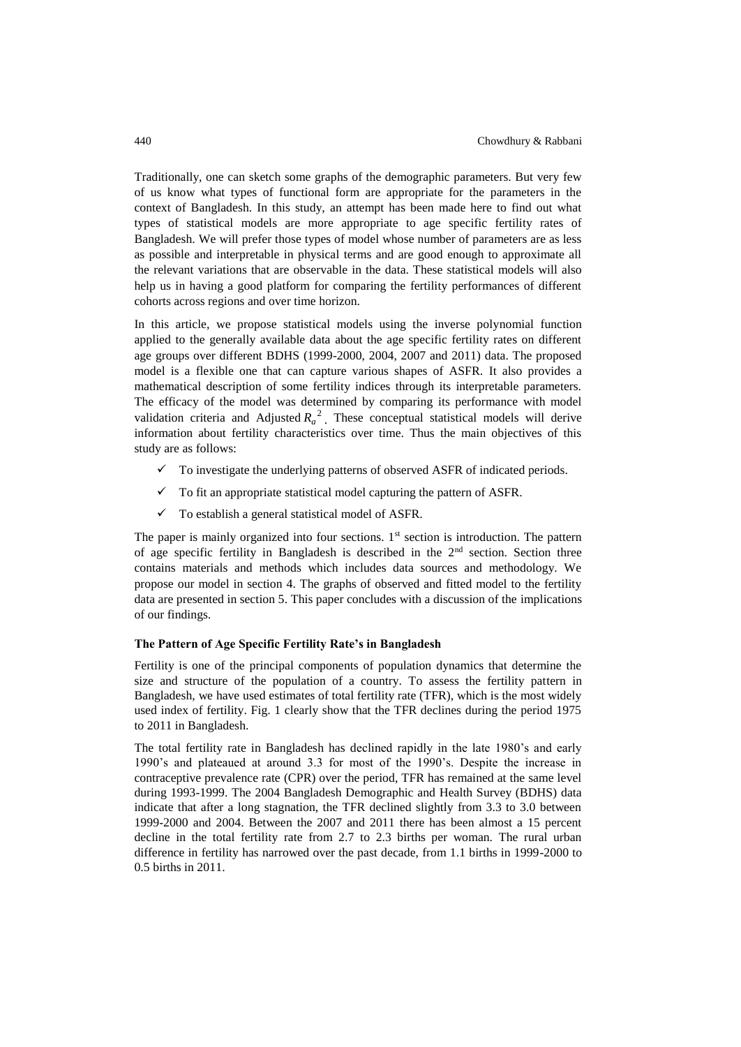Traditionally, one can sketch some graphs of the demographic parameters. But very few of us know what types of functional form are appropriate for the parameters in the context of Bangladesh. In this study, an attempt has been made here to find out what types of statistical models are more appropriate to age specific fertility rates of Bangladesh. We will prefer those types of model whose number of parameters are as less as possible and interpretable in physical terms and are good enough to approximate all the relevant variations that are observable in the data. These statistical models will also help us in having a good platform for comparing the fertility performances of different cohorts across regions and over time horizon.

In this article, we propose statistical models using the inverse polynomial function applied to the generally available data about the age specific fertility rates on different age groups over different BDHS (1999-2000, 2004, 2007 and 2011) data. The proposed model is a flexible one that can capture various shapes of ASFR. It also provides a mathematical description of some fertility indices through its interpretable parameters. The efficacy of the model was determined by comparing its performance with model validation criteria and Adjusted  $R_a^2$ . These conceptual statistical models will derive information about fertility characteristics over time. Thus the main objectives of this study are as follows:

- $\checkmark$  To investigate the underlying patterns of observed ASFR of indicated periods.
- $\checkmark$  To fit an appropriate statistical model capturing the pattern of ASFR.
- $\checkmark$  To establish a general statistical model of ASFR.

The paper is mainly organized into four sections.  $1<sup>st</sup>$  section is introduction. The pattern of age specific fertility in Bangladesh is described in the  $2<sup>nd</sup>$  section. Section three contains materials and methods which includes data sources and methodology. We propose our model in section 4. The graphs of observed and fitted model to the fertility data are presented in section 5. This paper concludes with a discussion of the implications of our findings.

#### **The Pattern of Age Specific Fertility Rate's in Bangladesh**

Fertility is one of the principal components of population dynamics that determine the size and structure of the population of a country. To assess the fertility pattern in Bangladesh, we have used estimates of total fertility rate (TFR), which is the most widely used index of fertility. Fig. 1 clearly show that the TFR declines during the period 1975 to 2011 in Bangladesh.

The total fertility rate in Bangladesh has declined rapidly in the late 1980's and early 1990's and plateaued at around 3.3 for most of the 1990's. Despite the increase in contraceptive prevalence rate (CPR) over the period, TFR has remained at the same level during 1993-1999. The 2004 Bangladesh Demographic and Health Survey (BDHS) data indicate that after a long stagnation, the TFR declined slightly from 3.3 to 3.0 between 1999-2000 and 2004. Between the 2007 and 2011 there has been almost a 15 percent decline in the total fertility rate from 2.7 to 2.3 births per woman. The rural urban difference in fertility has narrowed over the past decade, from 1.1 births in 1999-2000 to 0.5 births in 2011.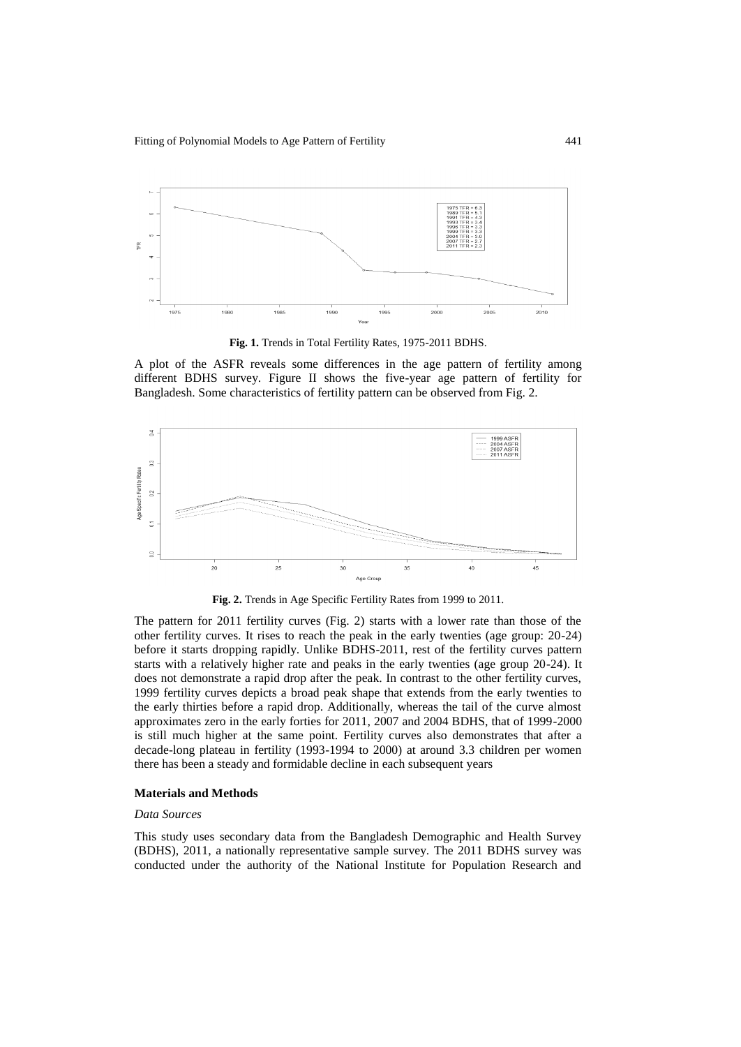

**Fig. 1.** Trends in Total Fertility Rates, 1975-2011 BDHS.

A plot of the ASFR reveals some differences in the age pattern of fertility among different BDHS survey. Figure II shows the five-year age pattern of fertility for Bangladesh. Some characteristics of fertility pattern can be observed from Fig. 2.



**Fig. 2.** Trends in Age Specific Fertility Rates from 1999 to 2011.

The pattern for 2011 fertility curves (Fig. 2) starts with a lower rate than those of the other fertility curves. It rises to reach the peak in the early twenties (age group: 20-24) before it starts dropping rapidly. Unlike BDHS-2011, rest of the fertility curves pattern starts with a relatively higher rate and peaks in the early twenties (age group 20-24). It does not demonstrate a rapid drop after the peak. In contrast to the other fertility curves, 1999 fertility curves depicts a broad peak shape that extends from the early twenties to the early thirties before a rapid drop. Additionally, whereas the tail of the curve almost approximates zero in the early forties for 2011, 2007 and 2004 BDHS, that of 1999-2000 is still much higher at the same point. Fertility curves also demonstrates that after a decade-long plateau in fertility (1993-1994 to 2000) at around 3.3 children per women there has been a steady and formidable decline in each subsequent years

#### **Materials and Methods**

## *Data Sources*

This study uses secondary data from the Bangladesh Demographic and Health Survey (BDHS), 2011, a nationally representative sample survey. The 2011 BDHS survey was conducted under the authority of the National Institute for Population Research and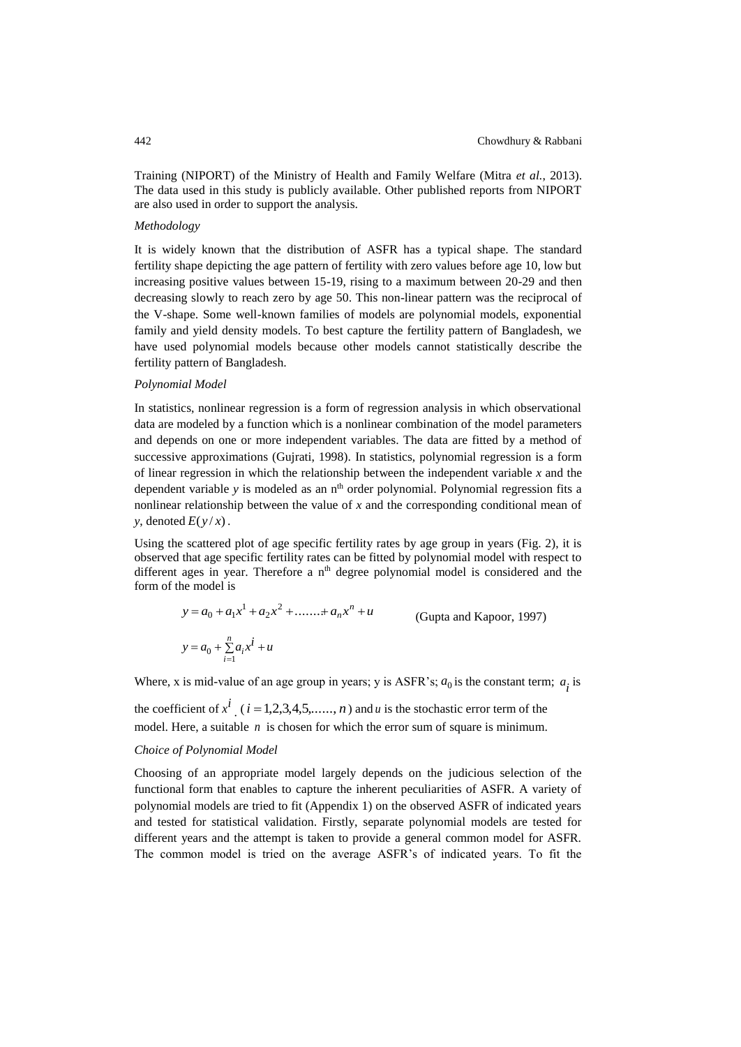Training (NIPORT) of the Ministry of Health and Family Welfare (Mitra *et al.*, 2013). The data used in this study is publicly available. Other published reports from NIPORT are also used in order to support the analysis.

#### *Methodology*

It is widely known that the distribution of ASFR has a typical shape. The standard fertility shape depicting the age pattern of fertility with zero values before age 10, low but increasing positive values between 15-19, rising to a maximum between 20-29 and then decreasing slowly to reach zero by age 50. This non-linear pattern was the reciprocal of the V-shape. Some well-known families of models are polynomial models, exponential family and yield density models. To best capture the fertility pattern of Bangladesh, we have used polynomial models because other models cannot statistically describe the fertility pattern of Bangladesh.

#### *Polynomial Model*

In statistics, nonlinear regression is a form of regression analysis in which observational data are modeled by a function which is a nonlinear combination of the model parameters and depends on one or more independent variables. The data are fitted by a method of successive approximations (Gujrati, 1998). In statistics, polynomial regression is a form of linear regression in which the relationship between the independent variable *x* and the dependent variable *y* is modeled as an n<sup>th</sup> order polynomial. Polynomial regression fits a nonlinear relationship between the value of *x* and the corresponding conditional mean of *y*, denoted  $E(y/x)$ .

Using the scattered plot of age specific fertility rates by age group in years (Fig. 2), it is observed that age specific fertility rates can be fitted by polynomial model with respect to different ages in year. Therefore a n<sup>th</sup> degree polynomial model is considered and the form of the model is

$$
y = a_0 + a_1 x^1 + a_2 x^2 + \dots + a_n x^n + u
$$
 (Gupta and Kapoor, 1997)  

$$
y = a_0 + \sum_{i=1}^n a_i x^i + u
$$

Where, x is mid-value of an age group in years; y is ASFR's;  $a_0$  is the constant term;  $a_i$  is

the coefficient of  $x^i$  ( $i = 1,2,3,4,5,...,n$ ) and *u* is the stochastic error term of the model. Here, a suitable *n* is chosen for which the error sum of square is minimum.

#### *Choice of Polynomial Model*

Choosing of an appropriate model largely depends on the judicious selection of the functional form that enables to capture the inherent peculiarities of ASFR. A variety of polynomial models are tried to fit (Appendix 1) on the observed ASFR of indicated years and tested for statistical validation. Firstly, separate polynomial models are tested for different years and the attempt is taken to provide a general common model for ASFR. The common model is tried on the average ASFR's of indicated years. To fit the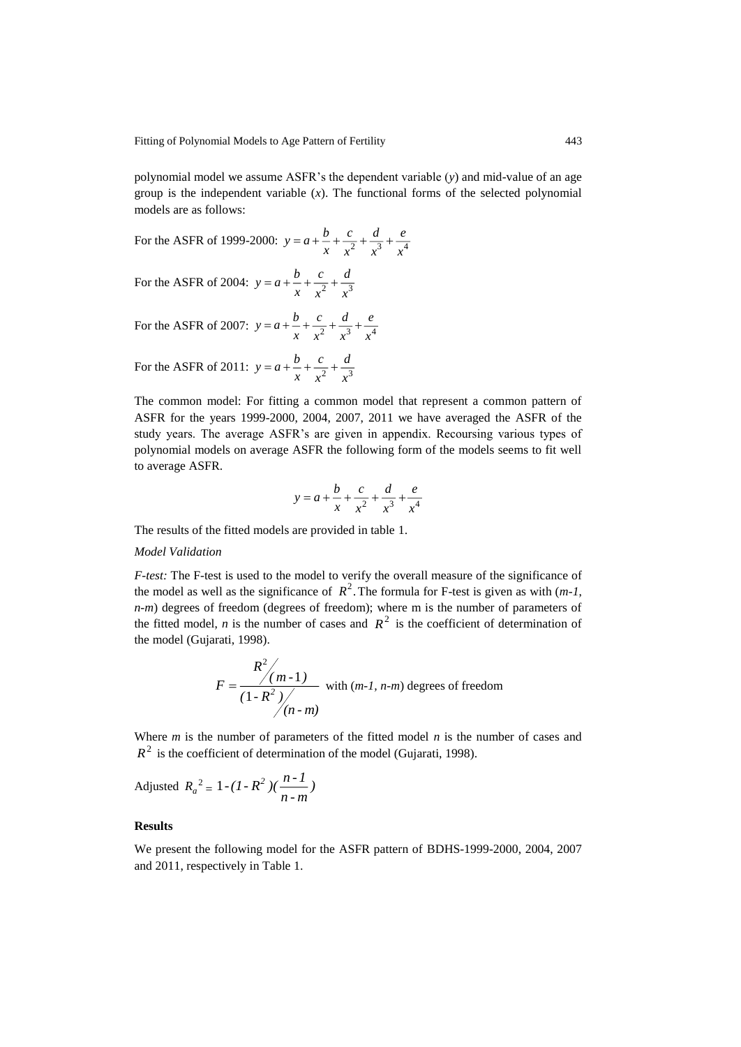polynomial model we assume ASFR's the dependent variable (*y*) and mid-value of an age group is the independent variable  $(x)$ . The functional forms of the selected polynomial models are as follows:

For the ASFR of 1999-2000:  $y = a + \frac{b}{x} + \frac{c}{x^2} + \frac{a}{x^3} + \frac{c}{x^4}$ *e x d x c x b*  $y = a + - + -$ 

For the ASFR of 2004:  $y = a + \frac{b}{x} + \frac{c}{x^2} + \frac{a}{x^3}$ *d x c x b*  $y = a + - + -$ 

For the ASFR of 2007:  $y = a + \frac{b}{x} + \frac{c}{x^2} + \frac{a}{x^3} + \frac{b}{x^4}$ *e x d x c x b*  $y = a + - + -$ 

For the ASFR of 2011:  $y = a + \frac{b}{x} + \frac{c}{x^2} + \frac{a}{x^3}$ *d x c x b*  $y = a + - + -$ 

The common model: For fitting a common model that represent a common pattern of ASFR for the years 1999-2000, 2004, 2007, 2011 we have averaged the ASFR of the study years. The average ASFR's are given in appendix. Recoursing various types of polynomial models on average ASFR the following form of the models seems to fit well to average ASFR.

$$
y = a + \frac{b}{x} + \frac{c}{x^2} + \frac{d}{x^3} + \frac{e}{x^4}
$$

The results of the fitted models are provided in table 1.

#### *Model Validation*

*F-test:* The F-test is used to the model to verify the overall measure of the significance of the model as well as the significance of  $R^2$ . The formula for F-test is given as with  $(m-1,$ *n-m*) degrees of freedom (degrees of freedom); where m is the number of parameters of the fitted model, *n* is the number of cases and  $R^2$  is the coefficient of determination of the model (Gujarati, 1998).

$$
F = \frac{R^2}{\left(1 - R^2\right)}/\frac{m - 1}{\left(1 - R^2\right)}/\frac{1}{\left(n - m\right)}
$$
 with  $(m - 1, n - m)$  degrees of freedom

Where *m* is the number of parameters of the fitted model *n* is the number of cases and  $R<sup>2</sup>$  is the coefficient of determination of the model (Gujarati, 1998).

Adjusted  $R_a^2 = 1 - (I - R^2) (\frac{h - 1}{n - m})$  $1 - (1 - R^2) (\frac{n-1}{2})$ 

#### **Results**

We present the following model for the ASFR pattern of BDHS-1999-2000, 2004, 2007 and 2011, respectively in Table 1.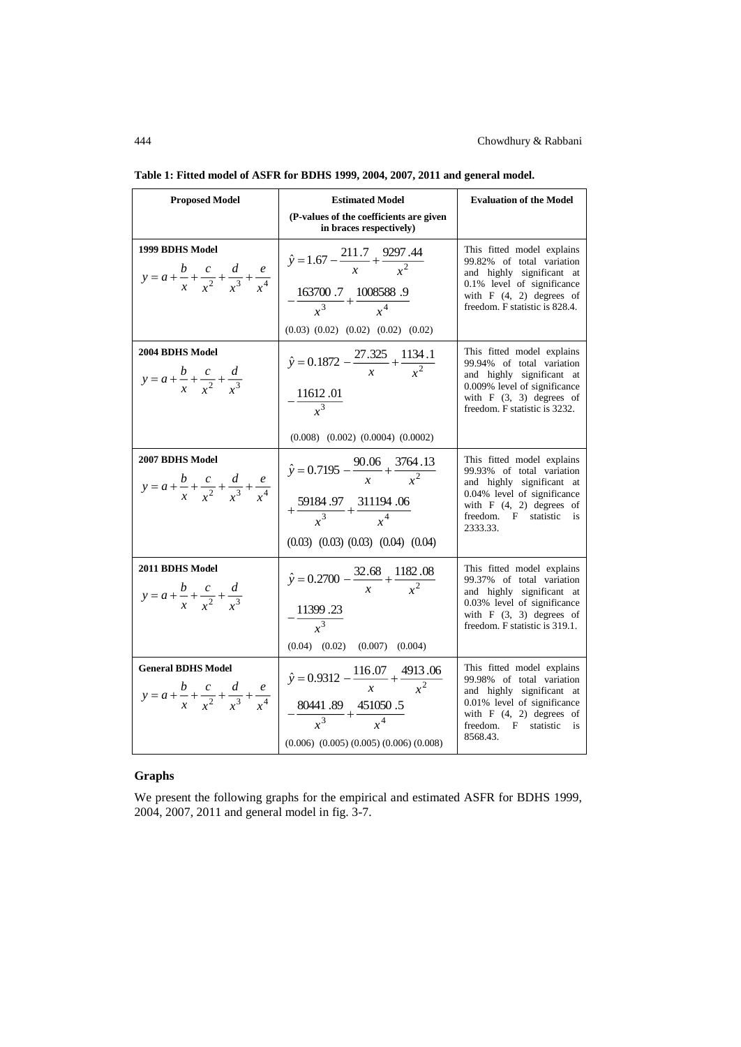| <b>Proposed Model</b>                                                                              | <b>Estimated Model</b>                                                                                                                                           | <b>Evaluation of the Model</b>                                                                                                                                                             |
|----------------------------------------------------------------------------------------------------|------------------------------------------------------------------------------------------------------------------------------------------------------------------|--------------------------------------------------------------------------------------------------------------------------------------------------------------------------------------------|
|                                                                                                    | (P-values of the coefficients are given<br>in braces respectively)                                                                                               |                                                                                                                                                                                            |
| 1999 BDHS Model<br>$y = a + \frac{b}{x} + \frac{c}{x^2} + \frac{d}{x^3} + \frac{e}{x^4}$           | $\hat{y} = 1.67 - \frac{211.7}{x} + \frac{9297.44}{x^2}$<br>$-\frac{163700.7}{x^3}+\frac{1008588.9}{x^4}$<br>$(0.03)$ $(0.02)$ $(0.02)$ $(0.02)$ $(0.02)$        | This fitted model explains<br>99.82% of total variation<br>and highly significant at<br>0.1% level of significance<br>with $F(4, 2)$ degrees of<br>freedom. F statistic is 828.4.          |
| 2004 BDHS Model<br>$y = a + \frac{b}{x} + \frac{c}{x^2} + \frac{d}{x^3}$                           | $\hat{y} = 0.1872 - \frac{27.325}{x} + \frac{1134.1}{x^2}$<br>$-\frac{11612.01}{r^3}$<br>$(0.008)$ $(0.002)$ $(0.0004)$ $(0.0002)$                               | This fitted model explains<br>99.94% of total variation<br>and highly significant at<br>0.009% level of significance<br>with $F(3, 3)$ degrees of<br>freedom. F statistic is 3232.         |
| 2007 BDHS Model<br>$y = a + \frac{b}{x} + \frac{c}{x^2} + \frac{d}{x^3} + \frac{e}{x^4}$           | $\hat{y} = 0.7195 - \frac{90.06}{x} + \frac{3764.13}{x^2}$<br>$+\frac{59184.97}{x^3}+\frac{311194.06}{x^4}$<br>$(0.03)$ $(0.03)$ $(0.03)$ $(0.04)$ $(0.04)$      | This fitted model explains<br>99.93% of total variation<br>and highly significant at<br>0.04% level of significance<br>with $F(4, 2)$ degrees of<br>freedom. F statistic<br>is<br>2333.33. |
| 2011 BDHS Model<br>$y = a + \frac{b}{r} + \frac{c}{r^2} + \frac{d}{r^3}$                           | $\hat{y} = 0.2700 - \frac{32.68}{r} + \frac{1182.08}{r^2}$<br>$-\frac{11399.23}{x^3}$<br>$(0.04)$ $(0.02)$<br>$(0.007)$ $(0.004)$                                | This fitted model explains<br>99.37% of total variation<br>and highly significant at<br>0.03% level of significance<br>with $F(3, 3)$ degrees of<br>freedom. F statistic is 319.1.         |
| <b>General BDHS Model</b><br>$y = a + \frac{b}{x} + \frac{c}{x^2} + \frac{d}{x^3} + \frac{e}{x^4}$ | $\hat{y} = 0.9312 - \frac{116.07}{x} + \frac{4913.06}{x^2}$<br>$-\frac{80441.89}{x^3}+\frac{451050.5}{x^4}$<br>$(0.006)$ $(0.005)$ $(0.005)$ $(0.006)$ $(0.008)$ | This fitted model explains<br>99.98% of total variation<br>and highly significant at<br>0.01% level of significance<br>with $F(4, 2)$ degrees of<br>freedom. F statistic<br>is<br>8568.43. |

|  |  | Table 1: Fitted model of ASFR for BDHS 1999, 2004, 2007, 2011 and general model. |  |  |  |  |
|--|--|----------------------------------------------------------------------------------|--|--|--|--|
|--|--|----------------------------------------------------------------------------------|--|--|--|--|

# **Graphs**

We present the following graphs for the empirical and estimated ASFR for BDHS 1999, 2004, 2007, 2011 and general model in fig. 3-7.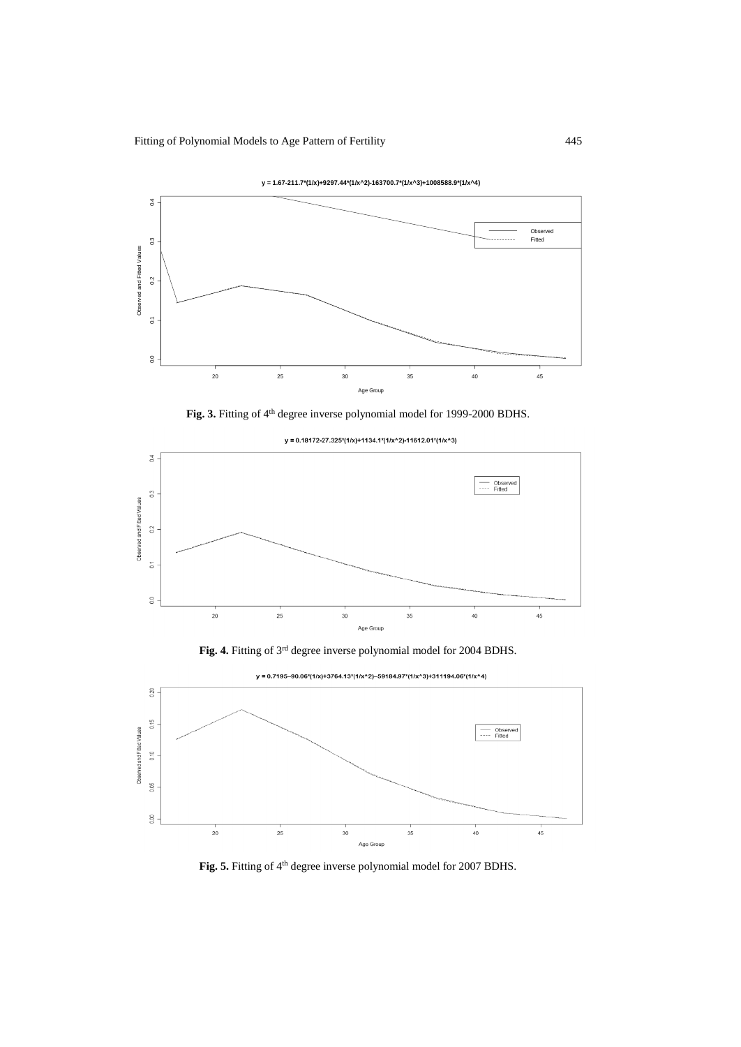







 $y = 0.18172 - 27.325*(1/x) + 1134.1*(1/x^2) - 11612.01*(1/x^3)$ 





y = 0.7195-90.06\*(1/x)+3764.13\*(1/x^2)-59184.97\*(1/x^3)+311194.06\*(1/x^4)

Fig. 5. Fitting of 4<sup>th</sup> degree inverse polynomial model for 2007 BDHS.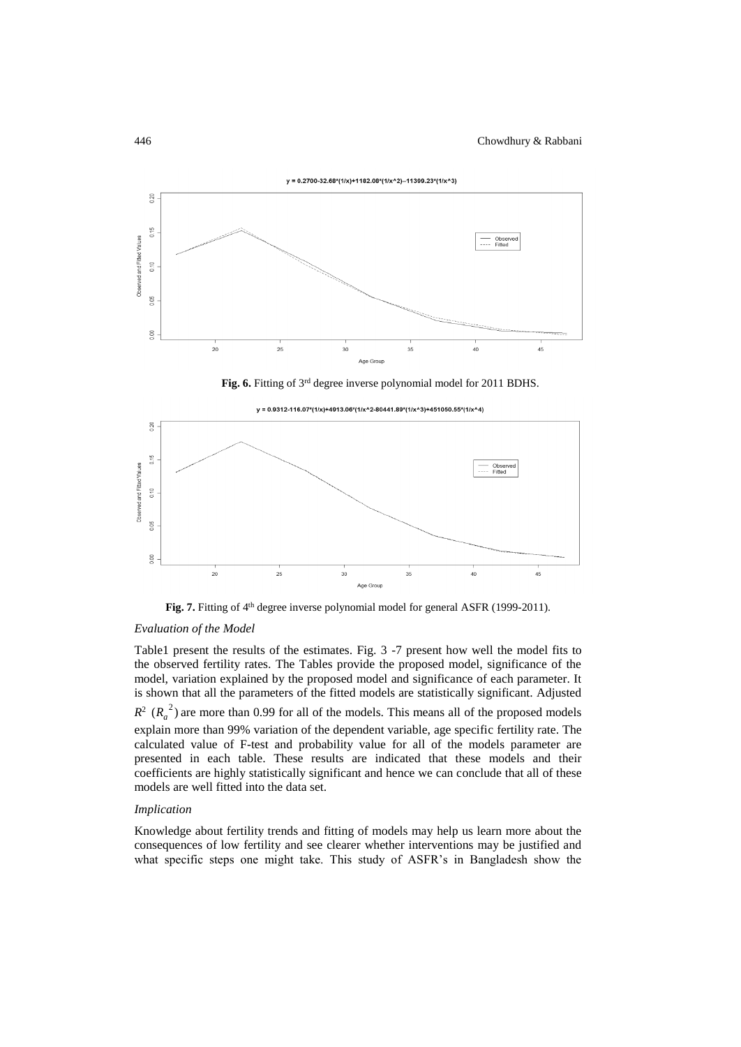

 $y = 0.2700 - 32.68*(1/x) + 1182.08*(1/x^2) - 11399.23*(1/x^3)$ 

Fig. 6. Fitting of 3<sup>rd</sup> degree inverse polynomial model for 2011 BDHS.



Fig. 7. Fitting of 4<sup>th</sup> degree inverse polynomial model for general ASFR (1999-2011).

# *Evaluation of the Model*

Table1 present the results of the estimates. Fig. 3 -7 present how well the model fits to the observed fertility rates. The Tables provide the proposed model, significance of the model, variation explained by the proposed model and significance of each parameter. It is shown that all the parameters of the fitted models are statistically significant. Adjusted  $R^2$  ( $R_a^2$ ) are more than 0.99 for all of the models. This means all of the proposed models explain more than 99% variation of the dependent variable, age specific fertility rate. The calculated value of F-test and probability value for all of the models parameter are presented in each table. These results are indicated that these models and their coefficients are highly statistically significant and hence we can conclude that all of these models are well fitted into the data set.

## *Implication*

Knowledge about fertility trends and fitting of models may help us learn more about the consequences of low fertility and see clearer whether interventions may be justified and what specific steps one might take. This study of ASFR's in Bangladesh show the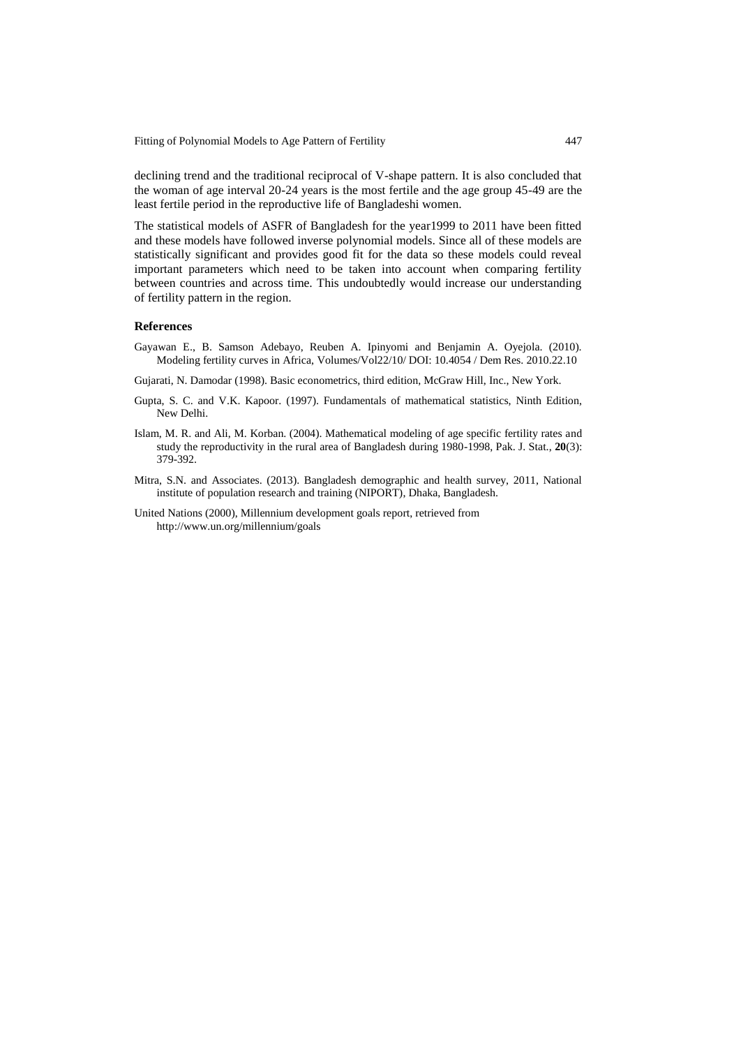Fitting of Polynomial Models to Age Pattern of Fertility 447

declining trend and the traditional reciprocal of V-shape pattern. It is also concluded that the woman of age interval 20-24 years is the most fertile and the age group 45-49 are the least fertile period in the reproductive life of Bangladeshi women.

The statistical models of ASFR of Bangladesh for the year1999 to 2011 have been fitted and these models have followed inverse polynomial models. Since all of these models are statistically significant and provides good fit for the data so these models could reveal important parameters which need to be taken into account when comparing fertility between countries and across time. This undoubtedly would increase our understanding of fertility pattern in the region.

#### **References**

Gayawan E., B. Samson Adebayo, Reuben A. Ipinyomi and Benjamin A. Oyejola. (2010). Modeling fertility curves in Africa, Volumes/Vol22/10/ DOI: 10.4054 / Dem Res. 2010.22.10

Gujarati, N. Damodar (1998). Basic econometrics, third edition, McGraw Hill, Inc., New York.

- Gupta, S. C. and V.K. Kapoor. (1997). Fundamentals of mathematical statistics, Ninth Edition, New Delhi.
- Islam, M. R. and Ali, M. Korban. (2004). Mathematical modeling of age specific fertility rates and study the reproductivity in the rural area of Bangladesh during 1980-1998, Pak. J. Stat., **20**(3): 379-392.
- Mitra, S.N. and Associates. (2013). Bangladesh demographic and health survey, 2011, National institute of population research and training (NIPORT), Dhaka, Bangladesh.
- United Nations (2000), Millennium development goals report, retrieved from <http://www.un.org/millennium/goals>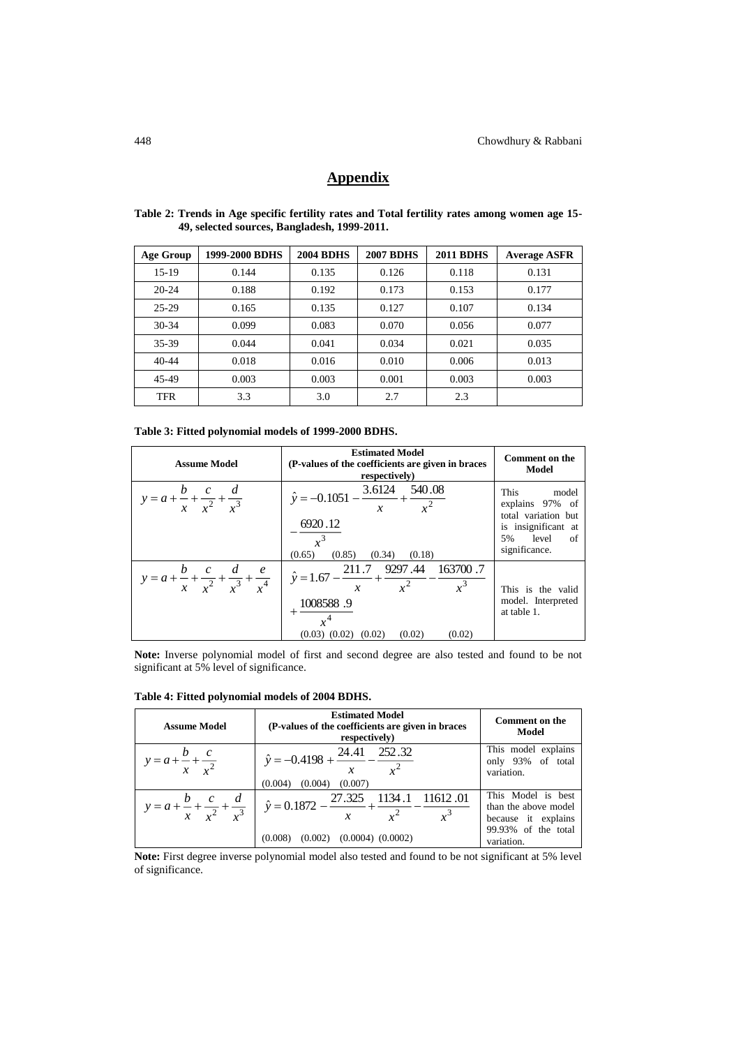# **Appendix**

| Age Group  | 1999-2000 BDHS | <b>2004 BDHS</b> | <b>2007 BDHS</b> | <b>2011 BDHS</b> | <b>Average ASFR</b> |
|------------|----------------|------------------|------------------|------------------|---------------------|
| $15-19$    | 0.144          | 0.135            | 0.126            | 0.118            | 0.131               |
| $20 - 24$  | 0.188          | 0.192            | 0.173            | 0.153            | 0.177               |
| $25 - 29$  | 0.165          | 0.135            | 0.127            | 0.107            | 0.134               |
| $30-34$    | 0.099          | 0.083            | 0.070            | 0.056            | 0.077               |
| 35-39      | 0.044          | 0.041            | 0.034            | 0.021            | 0.035               |
| $40 - 44$  | 0.018          | 0.016            | 0.010            | 0.006            | 0.013               |
| 45-49      | 0.003          | 0.003            | 0.001            | 0.003            | 0.003               |
| <b>TFR</b> | 3.3            | 3.0              | 2.7              | 2.3              |                     |

**Table 2: Trends in Age specific fertility rates and Total fertility rates among women age 15- 49, selected sources, Bangladesh, 1999-2011.**

| <b>Assume Model</b>                                                   | <b>Estimated Model</b><br>(P-values of the coefficients are given in braces)<br>respectively)                                                            | <b>Comment on the</b><br>Model                                                                                      |
|-----------------------------------------------------------------------|----------------------------------------------------------------------------------------------------------------------------------------------------------|---------------------------------------------------------------------------------------------------------------------|
| $y = a + \frac{b}{x} + \frac{c}{x^2} + \frac{d}{x^3}$                 | $\hat{y} = -0.1051 - \frac{3.6124}{x} + \frac{540.08}{x^2}$<br>6920.12<br>(0.65)<br>(0.85)<br>(0.34)<br>(0.18)                                           | This<br>model<br>explains 97% of<br>total variation but<br>is insignificant at<br>5% level<br>- of<br>significance. |
| $y = a + \frac{b}{x} + \frac{c}{x^2} + \frac{d}{x^3} + \frac{e}{x^4}$ | $\overline{\hat{y}} = 1.67 - \frac{211.7}{x} + \frac{9297.44}{x^2} - \frac{163700.7}{x^3}$<br>1008588.9<br>$(0.03)$ $(0.02)$ $(0.02)$ $(0.02)$<br>(0.02) | This is the valid<br>model. Interpreted<br>at table 1.                                                              |

**Note:** Inverse polynomial model of first and second degree are also tested and found to be not significant at 5% level of significance.

| <b>Assume Model</b>                                   | <b>Estimated Model</b><br>(P-values of the coefficients are given in braces)<br>respectively)                                   | <b>Comment on the</b><br>Model                                                                         |
|-------------------------------------------------------|---------------------------------------------------------------------------------------------------------------------------------|--------------------------------------------------------------------------------------------------------|
| $y = a + \frac{b}{x} + \frac{c}{r^2}$                 | $\hat{y} = -0.4198 + \frac{24.41}{x} - \frac{252.32}{x^2}$<br>(0.004)<br>(0.004)<br>(0.007)                                     | This model explains<br>only 93% of total<br>variation.                                                 |
| $y = a + \frac{b}{x} + \frac{c}{x^2} + \frac{d}{x^3}$ | $\hat{y} = 0.1872 - \frac{27.325}{x} + \frac{1134.1}{x^2} - \frac{11612.01}{x^3}$<br>$(0.002)$ $(0.0004)$ $(0.0002)$<br>(0.008) | This Model is best<br>than the above model<br>because it explains<br>99.93% of the total<br>variation. |

**Table 4: Fitted polynomial models of 2004 BDHS.**

**Note:** First degree inverse polynomial model also tested and found to be not significant at 5% level of significance.